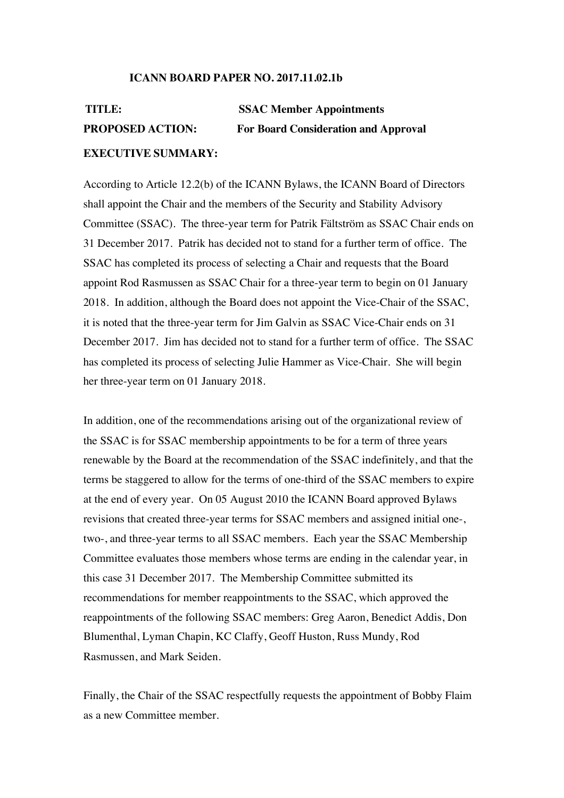## **ICANN BOARD PAPER NO. 2017.11.02.1b**

# **TITLE: SSAC Member Appointments PROPOSED ACTION: For Board Consideration and Approval EXECUTIVE SUMMARY:**

According to Article 12.2(b) of the ICANN Bylaws, the ICANN Board of Directors shall appoint the Chair and the members of the Security and Stability Advisory Committee (SSAC). The three-year term for Patrik Fältström as SSAC Chair ends on 31 December 2017. Patrik has decided not to stand for a further term of office. The SSAC has completed its process of selecting a Chair and requests that the Board appoint Rod Rasmussen as SSAC Chair for a three-year term to begin on 01 January 2018. In addition, although the Board does not appoint the Vice-Chair of the SSAC, it is noted that the three-year term for Jim Galvin as SSAC Vice-Chair ends on 31 December 2017. Jim has decided not to stand for a further term of office. The SSAC has completed its process of selecting Julie Hammer as Vice-Chair. She will begin her three-year term on 01 January 2018.

In addition, one of the recommendations arising out of the organizational review of the SSAC is for SSAC membership appointments to be for a term of three years renewable by the Board at the recommendation of the SSAC indefinitely, and that the terms be staggered to allow for the terms of one-third of the SSAC members to expire at the end of every year. On 05 August 2010 the ICANN Board approved Bylaws revisions that created three-year terms for SSAC members and assigned initial one-, two-, and three-year terms to all SSAC members. Each year the SSAC Membership Committee evaluates those members whose terms are ending in the calendar year, in this case 31 December 2017. The Membership Committee submitted its recommendations for member reappointments to the SSAC, which approved the reappointments of the following SSAC members: Greg Aaron, Benedict Addis, Don Blumenthal, Lyman Chapin, KC Claffy, Geoff Huston, Russ Mundy, Rod Rasmussen, and Mark Seiden.

Finally, the Chair of the SSAC respectfully requests the appointment of Bobby Flaim as a new Committee member.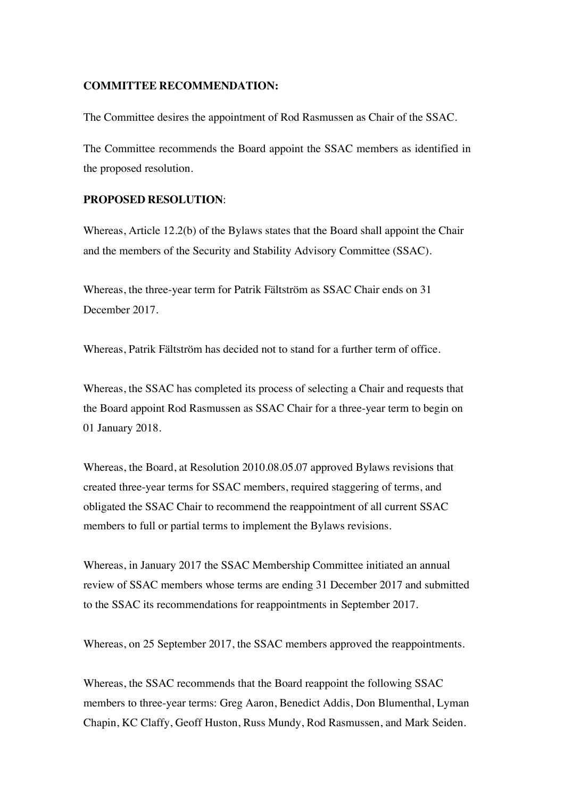#### **COMMITTEE RECOMMENDATION:**

The Committee desires the appointment of Rod Rasmussen as Chair of the SSAC.

The Committee recommends the Board appoint the SSAC members as identified in the proposed resolution.

#### **PROPOSED RESOLUTION**:

Whereas, Article 12.2(b) of the Bylaws states that the Board shall appoint the Chair and the members of the Security and Stability Advisory Committee (SSAC).

Whereas, the three-year term for Patrik Fältström as SSAC Chair ends on 31 December 2017.

Whereas, Patrik Fältström has decided not to stand for a further term of office.

Whereas, the SSAC has completed its process of selecting a Chair and requests that the Board appoint Rod Rasmussen as SSAC Chair for a three-year term to begin on 01 January 2018.

Whereas, the Board, at Resolution 2010.08.05.07 approved Bylaws revisions that created three-year terms for SSAC members, required staggering of terms, and obligated the SSAC Chair to recommend the reappointment of all current SSAC members to full or partial terms to implement the Bylaws revisions.

Whereas, in January 2017 the SSAC Membership Committee initiated an annual review of SSAC members whose terms are ending 31 December 2017 and submitted to the SSAC its recommendations for reappointments in September 2017.

Whereas, on 25 September 2017, the SSAC members approved the reappointments.

Whereas, the SSAC recommends that the Board reappoint the following SSAC members to three-year terms: Greg Aaron, Benedict Addis, Don Blumenthal, Lyman Chapin, KC Claffy, Geoff Huston, Russ Mundy, Rod Rasmussen, and Mark Seiden.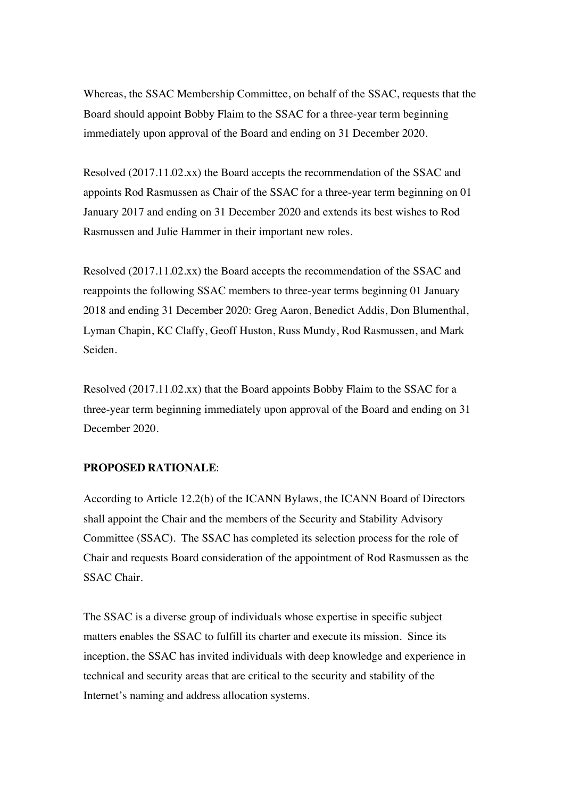Whereas, the SSAC Membership Committee, on behalf of the SSAC, requests that the Board should appoint Bobby Flaim to the SSAC for a three-year term beginning immediately upon approval of the Board and ending on 31 December 2020.

Resolved (2017.11.02.xx) the Board accepts the recommendation of the SSAC and appoints Rod Rasmussen as Chair of the SSAC for a three-year term beginning on 01 January 2017 and ending on 31 December 2020 and extends its best wishes to Rod Rasmussen and Julie Hammer in their important new roles.

Resolved (2017.11.02.xx) the Board accepts the recommendation of the SSAC and reappoints the following SSAC members to three-year terms beginning 01 January 2018 and ending 31 December 2020: Greg Aaron, Benedict Addis, Don Blumenthal, Lyman Chapin, KC Claffy, Geoff Huston, Russ Mundy, Rod Rasmussen, and Mark Seiden.

Resolved (2017.11.02.xx) that the Board appoints Bobby Flaim to the SSAC for a three-year term beginning immediately upon approval of the Board and ending on 31 December 2020.

## **PROPOSED RATIONALE**:

According to Article 12.2(b) of the ICANN Bylaws, the ICANN Board of Directors shall appoint the Chair and the members of the Security and Stability Advisory Committee (SSAC). The SSAC has completed its selection process for the role of Chair and requests Board consideration of the appointment of Rod Rasmussen as the SSAC Chair.

The SSAC is a diverse group of individuals whose expertise in specific subject matters enables the SSAC to fulfill its charter and execute its mission. Since its inception, the SSAC has invited individuals with deep knowledge and experience in technical and security areas that are critical to the security and stability of the Internet's naming and address allocation systems.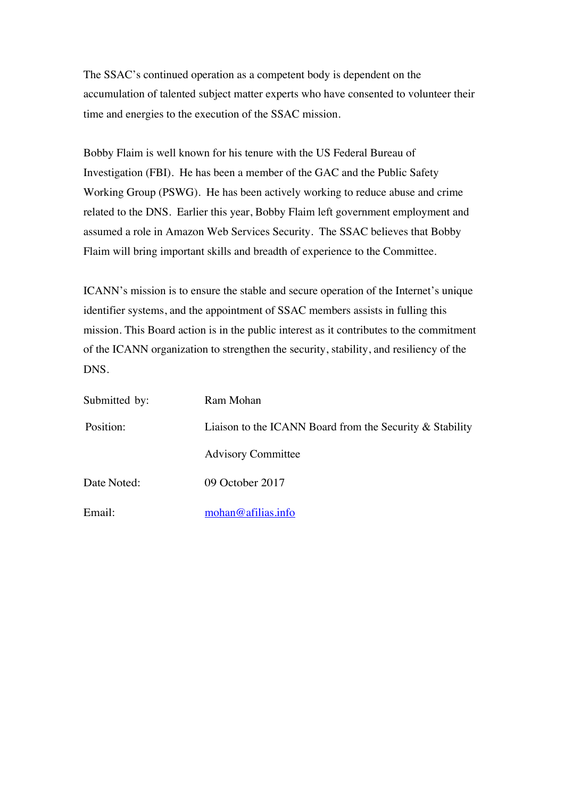The SSAC's continued operation as a competent body is dependent on the accumulation of talented subject matter experts who have consented to volunteer their time and energies to the execution of the SSAC mission.

Bobby Flaim is well known for his tenure with the US Federal Bureau of Investigation (FBI). He has been a member of the GAC and the Public Safety Working Group (PSWG). He has been actively working to reduce abuse and crime related to the DNS. Earlier this year, Bobby Flaim left government employment and assumed a role in Amazon Web Services Security. The SSAC believes that Bobby Flaim will bring important skills and breadth of experience to the Committee.

ICANN's mission is to ensure the stable and secure operation of the Internet's unique identifier systems, and the appointment of SSAC members assists in fulling this mission. This Board action is in the public interest as it contributes to the commitment of the ICANN organization to strengthen the security, stability, and resiliency of the DNS.

| Submitted by: | Ram Mohan                                                   |
|---------------|-------------------------------------------------------------|
| Position:     | Liaison to the ICANN Board from the Security $\&$ Stability |
|               | <b>Advisory Committee</b>                                   |
| Date Noted:   | 09 October 2017                                             |
| Email:        | mohan@afilias.info                                          |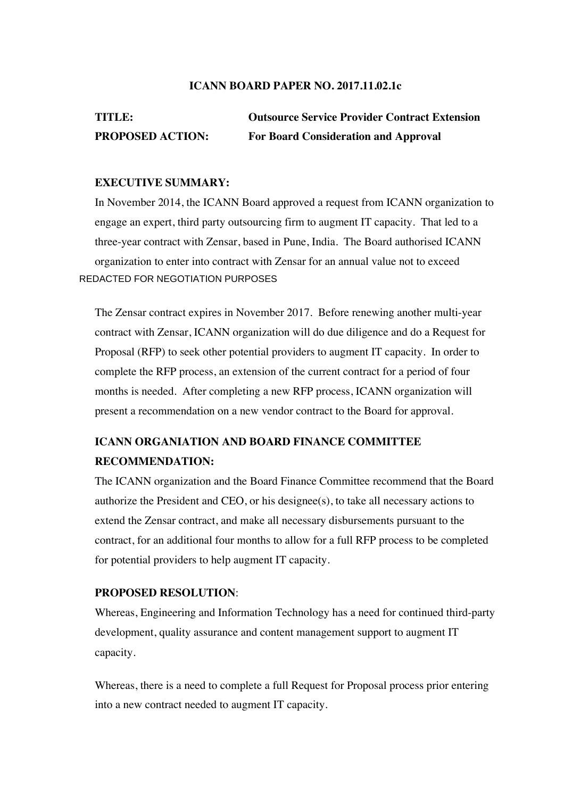#### **ICANN BOARD PAPER NO. 2017.11.02.1c**

# **TITLE: Outsource Service Provider Contract Extension PROPOSED ACTION: For Board Consideration and Approval**

## **EXECUTIVE SUMMARY:**

In November 2014, the ICANN Board approved a request from ICANN organization to engage an expert, third party outsourcing firm to augment IT capacity. That led to a three-year contract with Zensar, based in Pune, India. The Board authorised ICANN organization to enter into contract with Zensar for an annual value not to exceed REDACTED FOR NEGOTIATION PURPOSES

The Zensar contract expires in November 2017. Before renewing another multi-year contract with Zensar, ICANN organization will do due diligence and do a Request for Proposal (RFP) to seek other potential providers to augment IT capacity. In order to complete the RFP process, an extension of the current contract for a period of four months is needed. After completing a new RFP process, ICANN organization will present a recommendation on a new vendor contract to the Board for approval.

# **ICANN ORGANIATION AND BOARD FINANCE COMMITTEE RECOMMENDATION:**

The ICANN organization and the Board Finance Committee recommend that the Board authorize the President and CEO, or his designee(s), to take all necessary actions to extend the Zensar contract, and make all necessary disbursements pursuant to the contract, for an additional four months to allow for a full RFP process to be completed for potential providers to help augment IT capacity.

## **PROPOSED RESOLUTION**:

Whereas, Engineering and Information Technology has a need for continued third-party development, quality assurance and content management support to augment IT capacity.

Whereas, there is a need to complete a full Request for Proposal process prior entering into a new contract needed to augment IT capacity.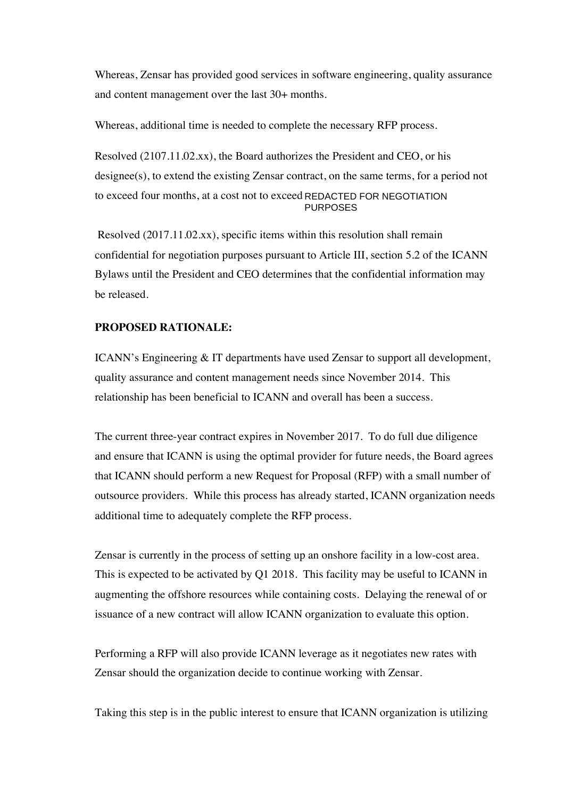Whereas, Zensar has provided good services in software engineering, quality assurance and content management over the last 30+ months.

Whereas, additional time is needed to complete the necessary RFP process.

Resolved (2107.11.02.xx), the Board authorizes the President and CEO, or his designee(s), to extend the existing Zensar contract, on the same terms, for a period not to exceed four months, at a cost not to exceed REDACTED FOR NEGOTIATION PURPOSES

 Resolved (2017.11.02.xx), specific items within this resolution shall remain confidential for negotiation purposes pursuant to Article III, section 5.2 of the ICANN Bylaws until the President and CEO determines that the confidential information may be released.

## **PROPOSED RATIONALE:**

ICANN's Engineering & IT departments have used Zensar to support all development, quality assurance and content management needs since November 2014. This relationship has been beneficial to ICANN and overall has been a success.

The current three-year contract expires in November 2017. To do full due diligence and ensure that ICANN is using the optimal provider for future needs, the Board agrees that ICANN should perform a new Request for Proposal (RFP) with a small number of outsource providers. While this process has already started, ICANN organization needs additional time to adequately complete the RFP process.

Zensar is currently in the process of setting up an onshore facility in a low-cost area. This is expected to be activated by Q1 2018. This facility may be useful to ICANN in augmenting the offshore resources while containing costs. Delaying the renewal of or issuance of a new contract will allow ICANN organization to evaluate this option.

Performing a RFP will also provide ICANN leverage as it negotiates new rates with Zensar should the organization decide to continue working with Zensar.

Taking this step is in the public interest to ensure that ICANN organization is utilizing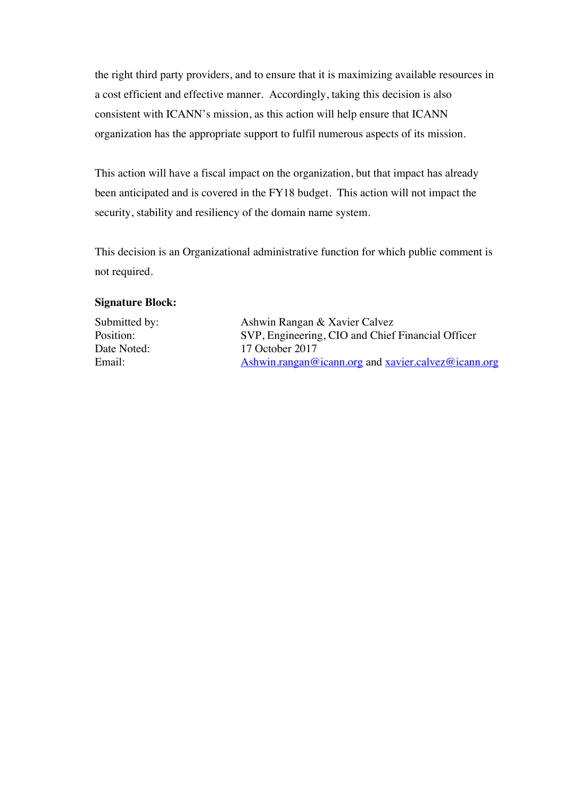the right third party providers, and to ensure that it is maximizing available resources in a cost efficient and effective manner. Accordingly, taking this decision is also consistent with ICANN's mission, as this action will help ensure that ICANN organization has the appropriate support to fulfil numerous aspects of its mission.

This action will have a fiscal impact on the organization, but that impact has already been anticipated and is covered in the FY18 budget. This action will not impact the security, stability and resiliency of the domain name system.

This decision is an Organizational administrative function for which public comment is not required.

## **Signature Block:**

Submitted by: Ashwin Rangan & Xavier Calvez Position: SVP, Engineering, CIO and Chief Financial Officer Date Noted: 17 October 2017 Email: Ashwin.rangan@icann.org and xavier.calvez@icann.org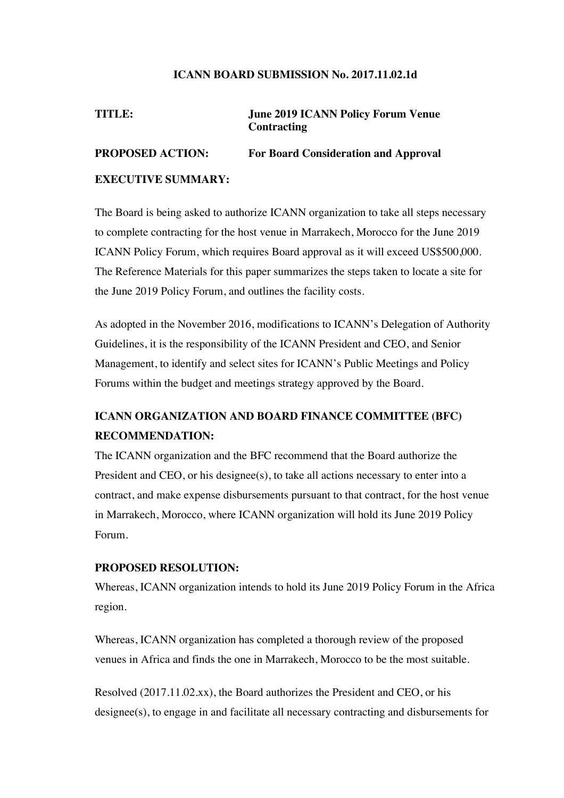## **ICANN BOARD SUBMISSION No. 2017.11.02.1d**

# **TITLE: June 2019 ICANN Policy Forum Venue Contracting PROPOSED ACTION: For Board Consideration and Approval**

## **EXECUTIVE SUMMARY:**

The Board is being asked to authorize ICANN organization to take all steps necessary to complete contracting for the host venue in Marrakech, Morocco for the June 2019 ICANN Policy Forum, which requires Board approval as it will exceed US\$500,000. The Reference Materials for this paper summarizes the steps taken to locate a site for the June 2019 Policy Forum, and outlines the facility costs.

As adopted in the November 2016, modifications to ICANN's Delegation of Authority Guidelines, it is the responsibility of the ICANN President and CEO, and Senior Management, to identify and select sites for ICANN's Public Meetings and Policy Forums within the budget and meetings strategy approved by the Board.

# **ICANN ORGANIZATION AND BOARD FINANCE COMMITTEE (BFC) RECOMMENDATION:**

The ICANN organization and the BFC recommend that the Board authorize the President and CEO, or his designee(s), to take all actions necessary to enter into a contract, and make expense disbursements pursuant to that contract, for the host venue in Marrakech, Morocco, where ICANN organization will hold its June 2019 Policy Forum.

## **PROPOSED RESOLUTION:**

Whereas, ICANN organization intends to hold its June 2019 Policy Forum in the Africa region.

Whereas, ICANN organization has completed a thorough review of the proposed venues in Africa and finds the one in Marrakech, Morocco to be the most suitable.

Resolved (2017.11.02.xx), the Board authorizes the President and CEO, or his designee(s), to engage in and facilitate all necessary contracting and disbursements for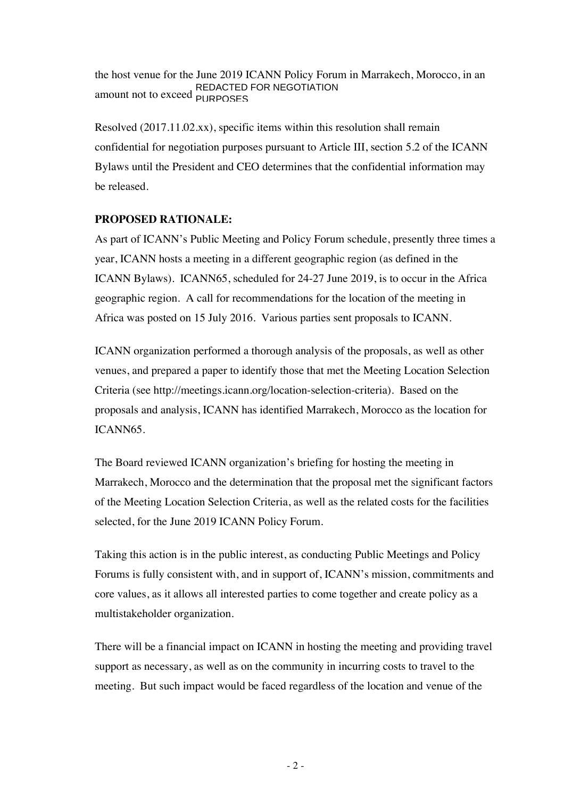the host venue for the June 2019 ICANN Policy Forum in Marrakech, Morocco, in an REDACTED FOR NEGOTIATION<br>amount not to exceed <sub>PURPOSES</sub> PURPOSES

Resolved (2017.11.02.xx), specific items within this resolution shall remain confidential for negotiation purposes pursuant to Article III, section 5.2 of the ICANN Bylaws until the President and CEO determines that the confidential information may be released.

## **PROPOSED RATIONALE:**

As part of ICANN's Public Meeting and Policy Forum schedule, presently three times a year, ICANN hosts a meeting in a different geographic region (as defined in the ICANN Bylaws). ICANN65, scheduled for 24-27 June 2019, is to occur in the Africa geographic region. A call for recommendations for the location of the meeting in Africa was posted on 15 July 2016. Various parties sent proposals to ICANN.

ICANN organization performed a thorough analysis of the proposals, as well as other venues, and prepared a paper to identify those that met the Meeting Location Selection Criteria (see http://meetings.icann.org/location-selection-criteria). Based on the proposals and analysis, ICANN has identified Marrakech, Morocco as the location for ICANN65.

The Board reviewed ICANN organization's briefing for hosting the meeting in Marrakech, Morocco and the determination that the proposal met the significant factors of the Meeting Location Selection Criteria, as well as the related costs for the facilities selected, for the June 2019 ICANN Policy Forum.

Taking this action is in the public interest, as conducting Public Meetings and Policy Forums is fully consistent with, and in support of, ICANN's mission, commitments and core values, as it allows all interested parties to come together and create policy as a multistakeholder organization.

There will be a financial impact on ICANN in hosting the meeting and providing travel support as necessary, as well as on the community in incurring costs to travel to the meeting. But such impact would be faced regardless of the location and venue of the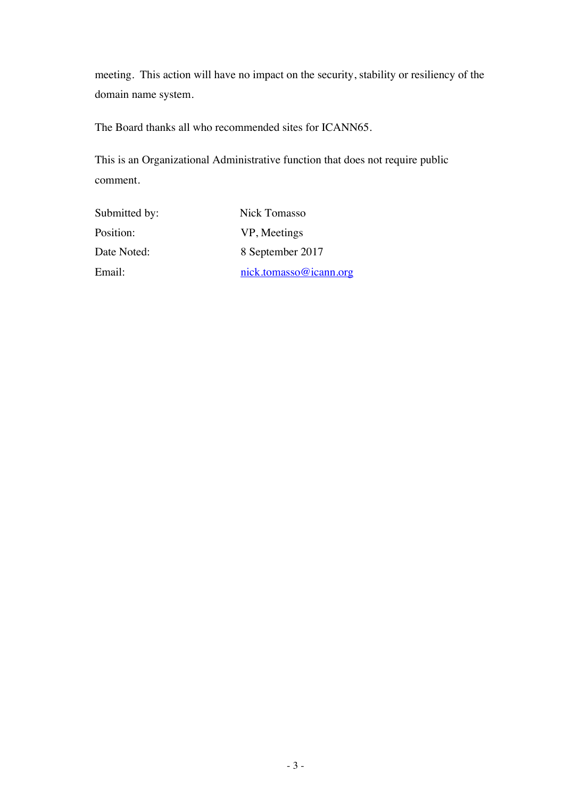meeting. This action will have no impact on the security, stability or resiliency of the domain name system.

The Board thanks all who recommended sites for ICANN65.

This is an Organizational Administrative function that does not require public comment.

| Submitted by: | Nick Tomasso                    |
|---------------|---------------------------------|
| Position:     | VP, Meetings                    |
| Date Noted:   | 8 September 2017                |
| Email:        | $nick. to mass \omegaicann.org$ |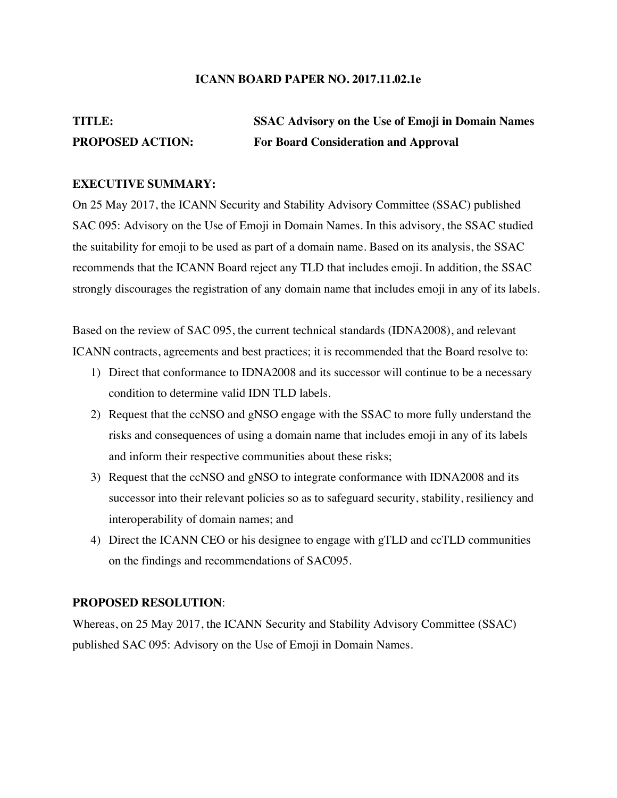## **ICANN BOARD PAPER NO. 2017.11.02.1e**

# **TITLE: SSAC Advisory on the Use of Emoji in Domain Names PROPOSED ACTION: For Board Consideration and Approval**

#### **EXECUTIVE SUMMARY:**

On 25 May 2017, the ICANN Security and Stability Advisory Committee (SSAC) published SAC 095: Advisory on the Use of Emoji in Domain Names. In this advisory, the SSAC studied the suitability for emoji to be used as part of a domain name. Based on its analysis, the SSAC recommends that the ICANN Board reject any TLD that includes emoji. In addition, the SSAC strongly discourages the registration of any domain name that includes emoji in any of its labels.

Based on the review of SAC 095, the current technical standards (IDNA2008), and relevant ICANN contracts, agreements and best practices; it is recommended that the Board resolve to:

- 1) Direct that conformance to IDNA2008 and its successor will continue to be a necessary condition to determine valid IDN TLD labels.
- 2) Request that the ccNSO and gNSO engage with the SSAC to more fully understand the risks and consequences of using a domain name that includes emoji in any of its labels and inform their respective communities about these risks;
- 3) Request that the ccNSO and gNSO to integrate conformance with IDNA2008 and its successor into their relevant policies so as to safeguard security, stability, resiliency and interoperability of domain names; and
- 4) Direct the ICANN CEO or his designee to engage with gTLD and ccTLD communities on the findings and recommendations of SAC095.

#### **PROPOSED RESOLUTION**:

Whereas, on 25 May 2017, the ICANN Security and Stability Advisory Committee (SSAC) published SAC 095: Advisory on the Use of Emoji in Domain Names.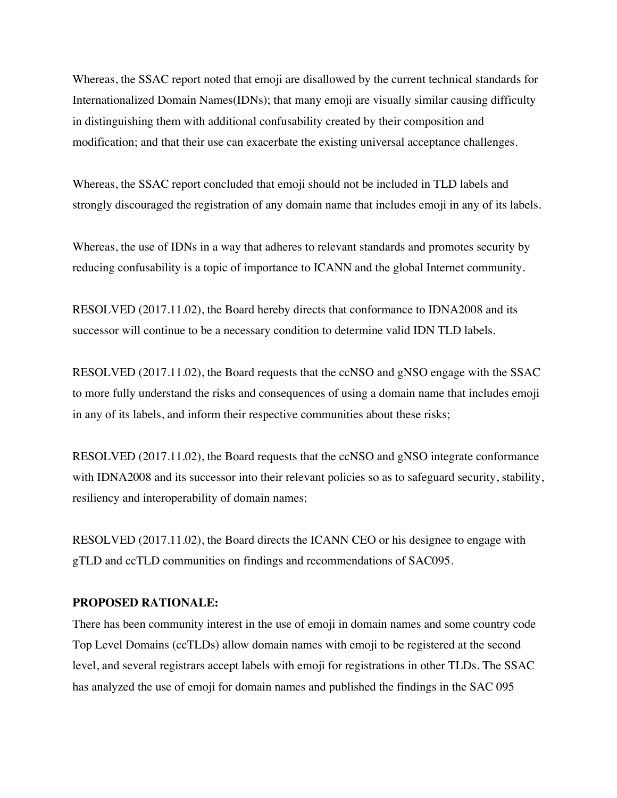Whereas, the SSAC report noted that emoji are disallowed by the current technical standards for Internationalized Domain Names(IDNs); that many emoji are visually similar causing difficulty in distinguishing them with additional confusability created by their composition and modification; and that their use can exacerbate the existing universal acceptance challenges.

Whereas, the SSAC report concluded that emoji should not be included in TLD labels and strongly discouraged the registration of any domain name that includes emoji in any of its labels.

Whereas, the use of IDNs in a way that adheres to relevant standards and promotes security by reducing confusability is a topic of importance to ICANN and the global Internet community.

RESOLVED (2017.11.02), the Board hereby directs that conformance to IDNA2008 and its successor will continue to be a necessary condition to determine valid IDN TLD labels.

RESOLVED (2017.11.02), the Board requests that the ccNSO and gNSO engage with the SSAC to more fully understand the risks and consequences of using a domain name that includes emoji in any of its labels, and inform their respective communities about these risks;

RESOLVED (2017.11.02), the Board requests that the ccNSO and gNSO integrate conformance with IDNA2008 and its successor into their relevant policies so as to safeguard security, stability, resiliency and interoperability of domain names;

RESOLVED (2017.11.02), the Board directs the ICANN CEO or his designee to engage with gTLD and ccTLD communities on findings and recommendations of SAC095.

#### **PROPOSED RATIONALE:**

There has been community interest in the use of emoji in domain names and some country code Top Level Domains (ccTLDs) allow domain names with emoji to be registered at the second level, and several registrars accept labels with emoji for registrations in other TLDs. The SSAC has analyzed the use of emoji for domain names and published the findings in the SAC 095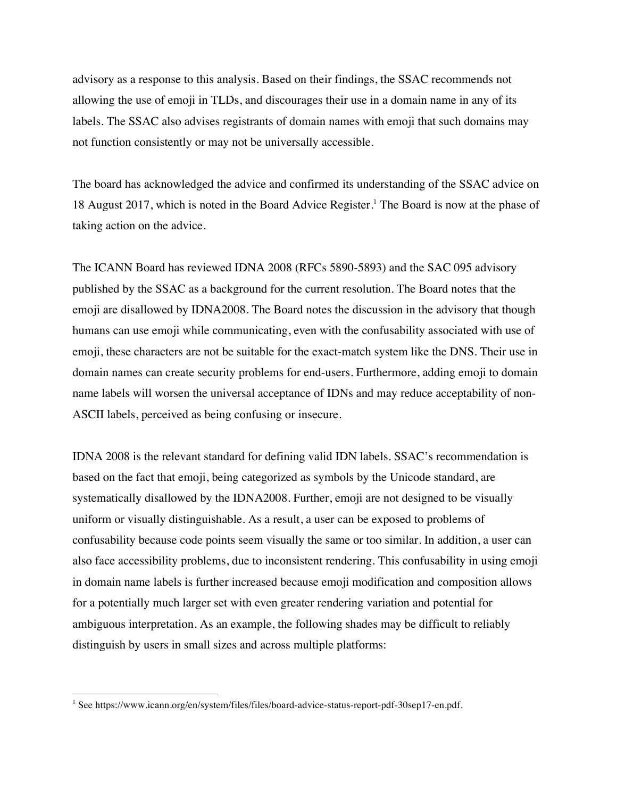advisory as a response to this analysis. Based on their findings, the SSAC recommends not allowing the use of emoji in TLDs, and discourages their use in a domain name in any of its labels. The SSAC also advises registrants of domain names with emoji that such domains may not function consistently or may not be universally accessible.

The board has acknowledged the advice and confirmed its understanding of the SSAC advice on 18 August 2017, which is noted in the Board Advice Register.<sup>1</sup> The Board is now at the phase of taking action on the advice.

The ICANN Board has reviewed IDNA 2008 (RFCs 5890-5893) and the SAC 095 advisory published by the SSAC as a background for the current resolution. The Board notes that the emoji are disallowed by IDNA2008. The Board notes the discussion in the advisory that though humans can use emoji while communicating, even with the confusability associated with use of emoji, these characters are not be suitable for the exact-match system like the DNS. Their use in domain names can create security problems for end-users. Furthermore, adding emoji to domain name labels will worsen the universal acceptance of IDNs and may reduce acceptability of non-ASCII labels, perceived as being confusing or insecure.

IDNA 2008 is the relevant standard for defining valid IDN labels. SSAC's recommendation is based on the fact that emoji, being categorized as symbols by the Unicode standard, are systematically disallowed by the IDNA2008. Further, emoji are not designed to be visually uniform or visually distinguishable. As a result, a user can be exposed to problems of confusability because code points seem visually the same or too similar. In addition, a user can also face accessibility problems, due to inconsistent rendering. This confusability in using emoji in domain name labels is further increased because emoji modification and composition allows for a potentially much larger set with even greater rendering variation and potential for ambiguous interpretation. As an example, the following shades may be difficult to reliably distinguish by users in small sizes and across multiple platforms:

<sup>&</sup>lt;sup>1</sup> See https://www.icann.org/en/system/files/files/board-advice-status-report-pdf-30sep17-en.pdf.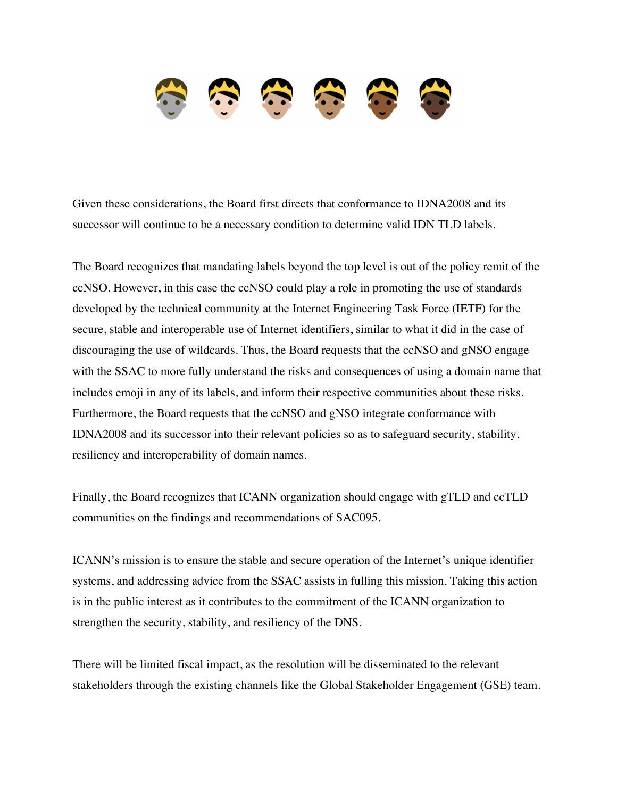

Given these considerations, the Board first directs that conformance to IDNA2008 and its successor will continue to be a necessary condition to determine valid IDN TLD labels.

The Board recognizes that mandating labels beyond the top level is out of the policy remit of the ccNSO. However, in this case the ccNSO could play a role in promoting the use of standards developed by the technical community at the Internet Engineering Task Force (IETF) for the secure, stable and interoperable use of Internet identifiers, similar to what it did in the case of discouraging the use of wildcards. Thus, the Board requests that the ccNSO and gNSO engage with the SSAC to more fully understand the risks and consequences of using a domain name that includes emoji in any of its labels, and inform their respective communities about these risks. Furthermore, the Board requests that the ccNSO and gNSO integrate conformance with IDNA2008 and its successor into their relevant policies so as to safeguard security, stability, resiliency and interoperability of domain names.

Finally, the Board recognizes that ICANN organization should engage with gTLD and ccTLD communities on the findings and recommendations of SAC095.

ICANN's mission is to ensure the stable and secure operation of the Internet's unique identifier systems, and addressing advice from the SSAC assists in fulling this mission. Taking this action is in the public interest as it contributes to the commitment of the ICANN organization to strengthen the security, stability, and resiliency of the DNS.

There will be limited fiscal impact, as the resolution will be disseminated to the relevant stakeholders through the existing channels like the Global Stakeholder Engagement (GSE) team.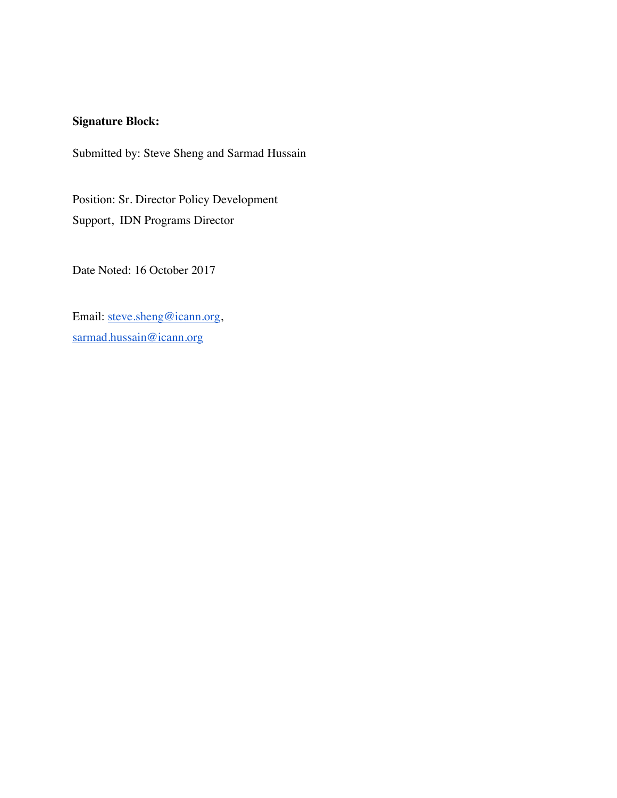## **Signature Block:**

Submitted by: Steve Sheng and Sarmad Hussain

Position: Sr. Director Policy Development Support, IDN Programs Director

Date Noted: 16 October 2017

Email: steve.sheng@icann.org, sarmad.hussain@icann.org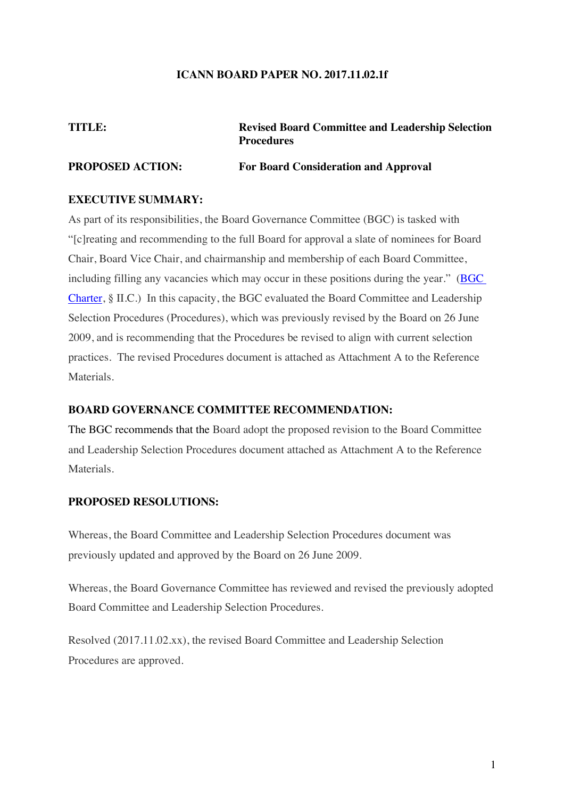## **ICANN BOARD PAPER NO. 2017.11.02.1f**

**TITLE: Revised Board Committee and Leadership Selection Procedures**

## **PROPOSED ACTION: For Board Consideration and Approval**

## **EXECUTIVE SUMMARY:**

As part of its responsibilities, the Board Governance Committee (BGC) is tasked with "[c]reating and recommending to the full Board for approval a slate of nominees for Board Chair, Board Vice Chair, and chairmanship and membership of each Board Committee, including filling any vacancies which may occur in these positions during the year." (BGC Charter, § II.C.) In this capacity, the BGC evaluated the Board Committee and Leadership Selection Procedures (Procedures), which was previously revised by the Board on 26 June 2009, and is recommending that the Procedures be revised to align with current selection practices. The revised Procedures document is attached as Attachment A to the Reference Materials.

## **BOARD GOVERNANCE COMMITTEE RECOMMENDATION:**

The BGC recommends that the Board adopt the proposed revision to the Board Committee and Leadership Selection Procedures document attached as Attachment A to the Reference **Materials** 

#### **PROPOSED RESOLUTIONS:**

Whereas, the Board Committee and Leadership Selection Procedures document was previously updated and approved by the Board on 26 June 2009.

Whereas, the Board Governance Committee has reviewed and revised the previously adopted Board Committee and Leadership Selection Procedures.

Resolved (2017.11.02.xx), the revised Board Committee and Leadership Selection Procedures are approved.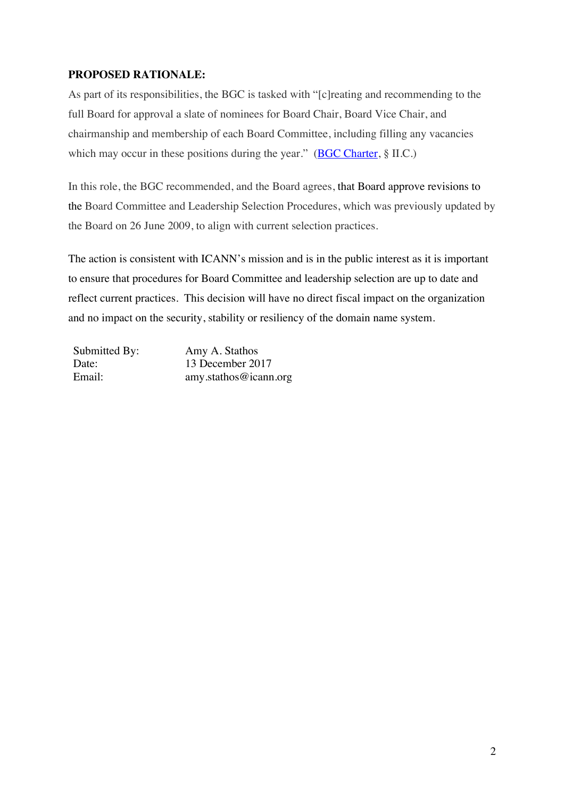## **PROPOSED RATIONALE:**

As part of its responsibilities, the BGC is tasked with "[c]reating and recommending to the full Board for approval a slate of nominees for Board Chair, Board Vice Chair, and chairmanship and membership of each Board Committee, including filling any vacancies which may occur in these positions during the year." (BGC Charter, § II.C.)

In this role, the BGC recommended, and the Board agrees, that Board approve revisions to the Board Committee and Leadership Selection Procedures, which was previously updated by the Board on 26 June 2009, to align with current selection practices.

The action is consistent with ICANN's mission and is in the public interest as it is important to ensure that procedures for Board Committee and leadership selection are up to date and reflect current practices. This decision will have no direct fiscal impact on the organization and no impact on the security, stability or resiliency of the domain name system.

| Submitted By: | Amy A. Stathos        |
|---------------|-----------------------|
| Date:         | 13 December 2017      |
| Email:        | amy.stathos@icann.org |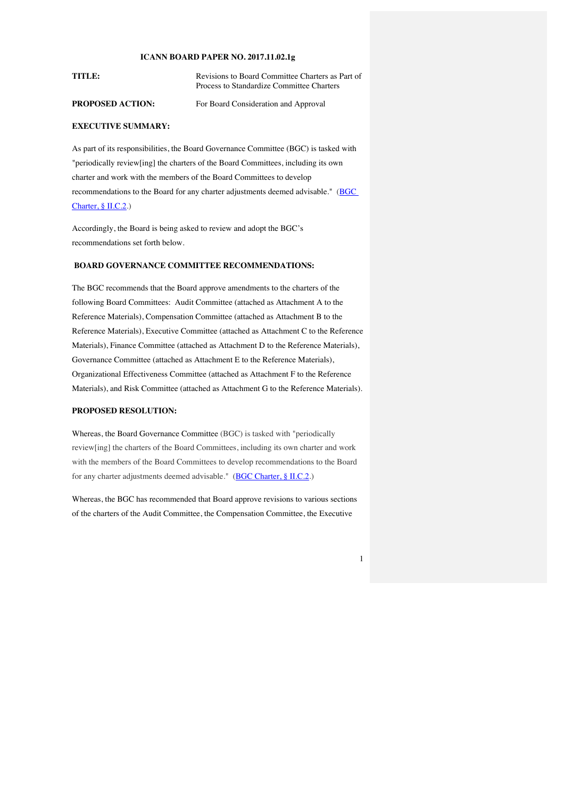#### **ICANN BOARD PAPER NO. 2017.11.02.1g**

| TITLE: | Revisions to Board Committee Charters as Part of |
|--------|--------------------------------------------------|
|        | Process to Standardize Committee Charters        |
|        |                                                  |

**PROPOSED ACTION:** For Board Consideration and Approval

#### **EXECUTIVE SUMMARY:**

As part of its responsibilities, the Board Governance Committee (BGC) is tasked with "periodically review[ing] the charters of the Board Committees, including its own charter and work with the members of the Board Committees to develop recommendations to the Board for any charter adjustments deemed advisable." (BGC Charter, § II.C.2.)

Accordingly, the Board is being asked to review and adopt the BGC's recommendations set forth below.

#### **BOARD GOVERNANCE COMMITTEE RECOMMENDATIONS:**

The BGC recommends that the Board approve amendments to the charters of the following Board Committees: Audit Committee (attached as Attachment A to the Reference Materials), Compensation Committee (attached as Attachment B to the Reference Materials), Executive Committee (attached as Attachment C to the Reference Materials), Finance Committee (attached as Attachment D to the Reference Materials), Governance Committee (attached as Attachment E to the Reference Materials), Organizational Effectiveness Committee (attached as Attachment F to the Reference Materials), and Risk Committee (attached as Attachment G to the Reference Materials).

#### **PROPOSED RESOLUTION:**

Whereas, the Board Governance Committee (BGC) is tasked with "periodically review[ing] the charters of the Board Committees, including its own charter and work with the members of the Board Committees to develop recommendations to the Board for any charter adjustments deemed advisable." (BGC Charter, § II.C.2.)

Whereas, the BGC has recommended that Board approve revisions to various sections of the charters of the Audit Committee, the Compensation Committee, the Executive

1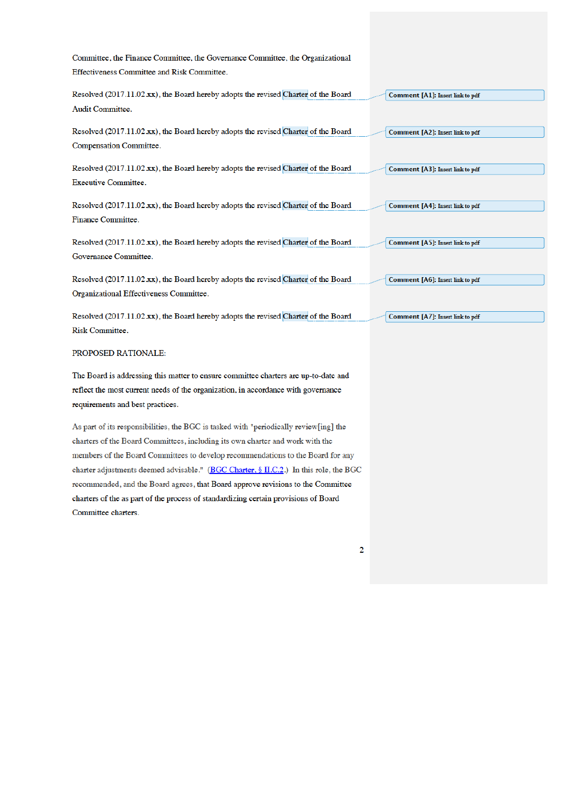Committee, the Finance Committee, the Governance Committee, the Organizational Effectiveness Committee and Risk Committee.

Resolved (2017.11.02.xx), the Board hereby adopts the revised Charter of the Board Audit Committee.

Resolved (2017.11.02.xx), the Board hereby adopts the revised Charter of the Board Compensation Committee.

Resolved (2017.11.02.xx), the Board hereby adopts the revised Charter of the Board Executive Committee.

Resolved (2017.11.02.xx), the Board hereby adopts the revised Charter of the Board Finance Committee.

Resolved (2017.11.02.xx), the Board hereby adopts the revised Charter of the Board Governance Committee.

Resolved (2017.11.02.xx), the Board hereby adopts the revised Charter of the Board Organizational Effectiveness Committee.

Resolved (2017.11.02.xx), the Board hereby adopts the revised Charter of the Board Risk Committee.

#### PROPOSED RATIONALE:

The Board is addressing this matter to ensure committee charters are up-to-date and reflect the most current needs of the organization, in accordance with governance requirements and best practices.

As part of its responsibilities, the BGC is tasked with "periodically review[ing] the charters of the Board Committees, including its own charter and work with the members of the Board Committees to develop recommendations to the Board for any charter adjustments deemed advisable." (BGC Charter, § II.C.2.) In this role, the BGC recommended, and the Board agrees, that Board approve revisions to the Committee charters of the as part of the process of standardizing certain provisions of Board Committee charters.

 $\overline{2}$ 

Comment [A1]: Insert link to pdf

Comment [A2]: Insert link to pdf

Comment [A3]: Insert link to pdf

Comment [A4]: Insert link to pdf

Comment [A5]: Insert link to pdf

Comment [A6]: Insert link to pdf

Comment [A7]: Insert link to pdf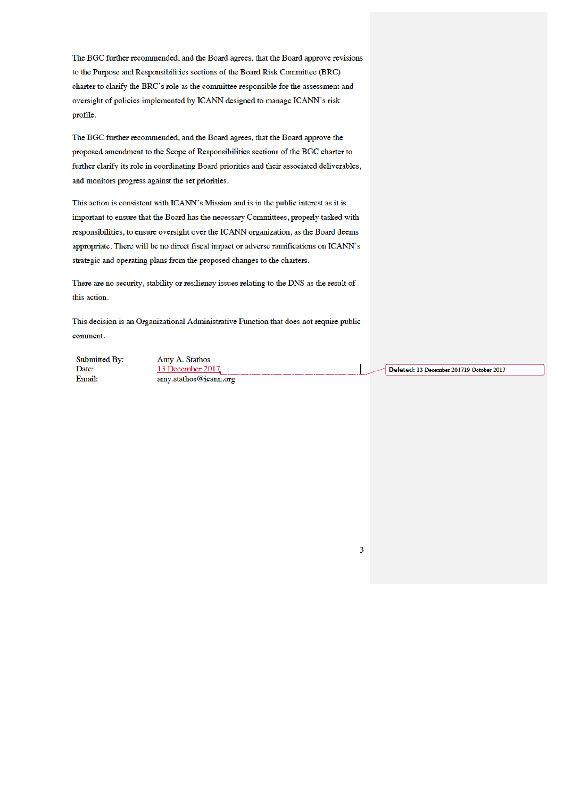The BGC further recommended, and the Board agrees, that the Board approve revisions to the Purpose and Responsibilities sections of the Board Risk Committee (BRC) charter to clarify the BRC's role as the committee responsible for the assessment and oversight of policies implemented by ICANN designed to manage ICANN's risk profile.

The BGC further recommended, and the Board agrees, that the Board approve the proposed amendment to the Scope of Responsibilities sections of the BGC charter to further clarify its role in coordinating Board priorities and their associated deliverables, and monitors progress against the set priorities.

This action is consistent with ICANN's Mission and is in the public interest as it is important to ensure that the Board has the necessary Committees, properly tasked with responsibilities, to ensure oversight over the ICANN organization, as the Board deems appropriate. There will be no direct fiscal impact or adverse ramifications on ICANN's strategic and operating plans from the proposed changes to the charters.

There are no security, stability or resiliency issues relating to the DNS as the result of this action.

This decision is an Organizational Administrative Function that does not require public comment.

Submitted By: Date: Email:

Amy A. Stathos 13 December 2017 amy.stathos@icann.org

Deleted: 13 December 201719 October 2017

 $\overline{3}$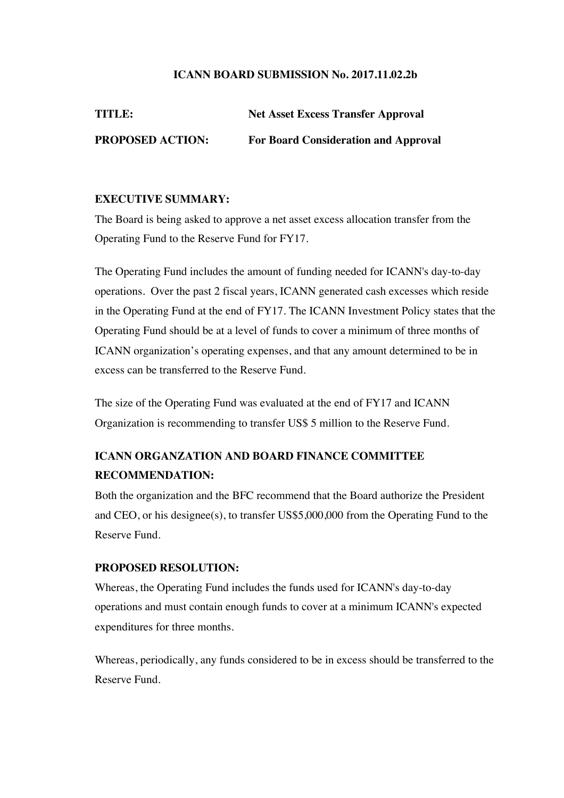## **ICANN BOARD SUBMISSION No. 2017.11.02.2b**

| <b>TITLE:</b>           | <b>Net Asset Excess Transfer Approval</b>   |
|-------------------------|---------------------------------------------|
| <b>PROPOSED ACTION:</b> | <b>For Board Consideration and Approval</b> |

## **EXECUTIVE SUMMARY:**

The Board is being asked to approve a net asset excess allocation transfer from the Operating Fund to the Reserve Fund for FY17.

The Operating Fund includes the amount of funding needed for ICANN's day-to-day operations. Over the past 2 fiscal years, ICANN generated cash excesses which reside in the Operating Fund at the end of FY17. The ICANN Investment Policy states that the Operating Fund should be at a level of funds to cover a minimum of three months of ICANN organization's operating expenses, and that any amount determined to be in excess can be transferred to the Reserve Fund.

The size of the Operating Fund was evaluated at the end of FY17 and ICANN Organization is recommending to transfer US\$ 5 million to the Reserve Fund.

# **ICANN ORGANZATION AND BOARD FINANCE COMMITTEE RECOMMENDATION:**

Both the organization and the BFC recommend that the Board authorize the President and CEO, or his designee(s), to transfer US\$5,000,000 from the Operating Fund to the Reserve Fund.

## **PROPOSED RESOLUTION:**

Whereas, the Operating Fund includes the funds used for ICANN's day-to-day operations and must contain enough funds to cover at a minimum ICANN's expected expenditures for three months.

Whereas, periodically, any funds considered to be in excess should be transferred to the Reserve Fund.